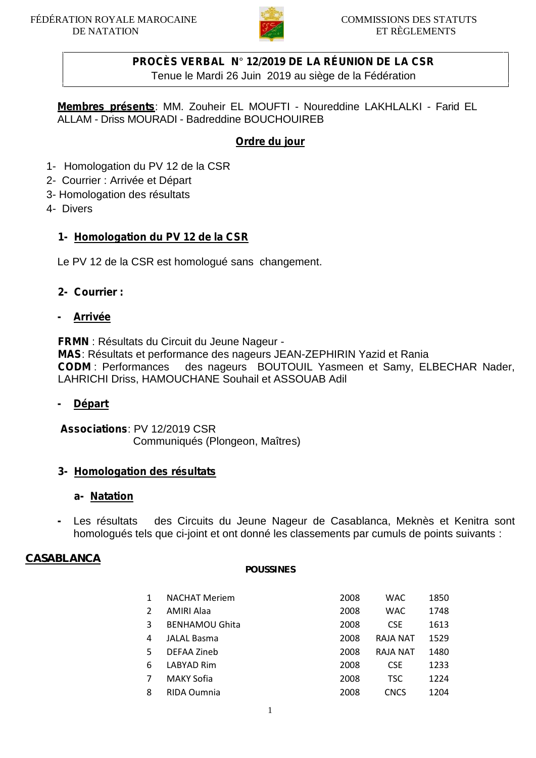

# **PROCÈS VERBAL N**° **12/2019 DE LA RÉUNION DE LA CSR**

Tenue le Mardi 26 Juin 2019 au siège de la Fédération

**Membres présents**: MM. Zouheir EL MOUFTI - Noureddine LAKHLALKI - Farid EL ALLAM - Driss MOURADI - Badreddine BOUCHOUIREB

### **Ordre du jour**

- 1- Homologation du PV 12 de la CSR
- 2- Courrier : Arrivée et Départ
- 3- Homologation des résultats
- 4- Divers

### **1- Homologation du PV 12 de la CSR**

Le PV 12 de la CSR est homologué sans changement.

### **2- Courrier :**

#### **- Arrivée**

**FRMN** : Résultats du Circuit du Jeune Nageur - **MAS**: Résultats et performance des nageurs JEAN-ZEPHIRIN Yazid et Rania **CODM** : Performances des nageurs BOUTOUIL Yasmeen et Samy, ELBECHAR Nader, LAHRICHI Driss, HAMOUCHANE Souhail et ASSOUAB Adil

#### **- Départ**

**Associations**: PV 12/2019 CSR Communiqués (Plongeon, Maîtres)

### **3- Homologation des résultats**

#### **a- Natation**

**-** Les résultats des Circuits du Jeune Nageur de Casablanca, Meknès et Kenitra sont homologués tels que ci-joint et ont donné les classements par cumuls de points suivants :

#### **CASABLANCA**

#### **POUSSINES**

|   | <b>NACHAT Meriem</b>  | 2008 | <b>WAC</b>      | 1850 |  |
|---|-----------------------|------|-----------------|------|--|
| 2 | <b>AMIRI Alaa</b>     | 2008 | <b>WAC</b>      | 1748 |  |
| 3 | <b>BENHAMOU Ghita</b> | 2008 | <b>CSE</b>      | 1613 |  |
| 4 | <b>JALAL Basma</b>    | 2008 | RAJA NAT        | 1529 |  |
| 5 | DEFAA Zineb           | 2008 | <b>RAJA NAT</b> | 1480 |  |
| 6 | LABYAD Rim            | 2008 | <b>CSE</b>      | 1233 |  |
| 7 | <b>MAKY Sofia</b>     | 2008 | TSC.            | 1224 |  |
| 8 | RIDA Oumnia           | 2008 | <b>CNCS</b>     | 1204 |  |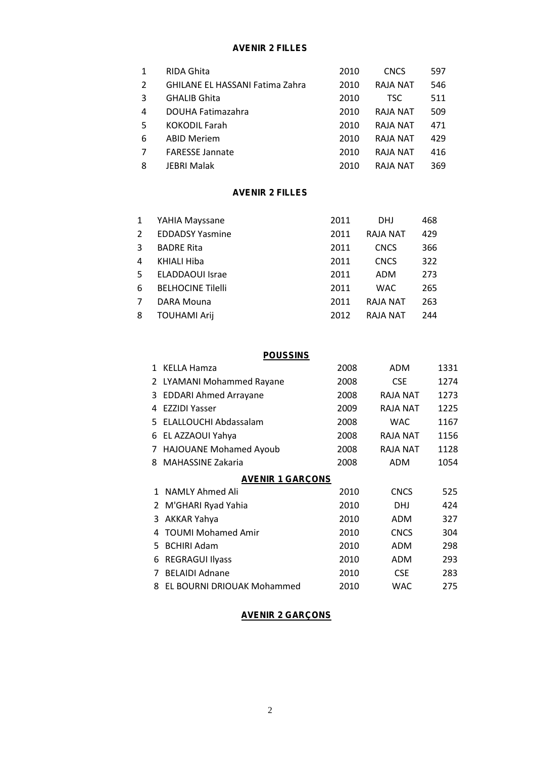#### **AVENIR 2 FILLES**

|   | RIDA Ghita                             | 2010 | <b>CNCS</b>     | 597 |
|---|----------------------------------------|------|-----------------|-----|
| 2 | <b>GHILANE EL HASSANI Fatima Zahra</b> | 2010 | <b>RAJA NAT</b> | 546 |
| 3 | <b>GHALIB Ghita</b>                    | 2010 | TSC.            | 511 |
| 4 | <b>DOUHA Fatimazahra</b>               | 2010 | <b>RAJA NAT</b> | 509 |
| 5 | <b>KOKODIL Farah</b>                   | 2010 | <b>RAJA NAT</b> | 471 |
| 6 | <b>ABID Meriem</b>                     | 2010 | <b>RAJA NAT</b> | 429 |
|   | <b>FARESSE Jannate</b>                 | 2010 | <b>RAJA NAT</b> | 416 |
| 8 | <b>JEBRI Malak</b>                     | 2010 | RAJA NAT        | 369 |

#### **AVENIR 2 FILLES**

|   | YAHIA Mayssane           | 2011 | <b>DHJ</b>      | 468 |
|---|--------------------------|------|-----------------|-----|
| 2 | <b>EDDADSY Yasmine</b>   | 2011 | RAJA NAT        | 429 |
| 3 | <b>BADRE Rita</b>        | 2011 | <b>CNCS</b>     | 366 |
| 4 | KHIALI Hiba              | 2011 | <b>CNCS</b>     | 322 |
| 5 | <b>ELADDAOUI</b> Israe   | 2011 | ADM             | 273 |
| 6 | <b>BELHOCINE Tilelli</b> | 2011 | <b>WAC</b>      | 265 |
| 7 | DARA Mouna               | 2011 | <b>RAJA NAT</b> | 263 |
| 8 | <b>TOUHAMI Arij</b>      | 2012 | RAJA NAT        | 244 |

|              | <b>POUSSINS</b>              |      |                 |      |  |  |  |
|--------------|------------------------------|------|-----------------|------|--|--|--|
| 1            | <b>KELLA Hamza</b>           | 2008 | <b>ADM</b>      | 1331 |  |  |  |
| 2            | LYAMANI Mohammed Rayane      | 2008 | <b>CSE</b>      | 1274 |  |  |  |
| 3            | <b>EDDARI Ahmed Arrayane</b> | 2008 | RAJA NAT        | 1273 |  |  |  |
| 4            | <b>EZZIDI Yasser</b>         | 2009 | RAJA NAT        | 1225 |  |  |  |
| 5.           | ELALLOUCHI Abdassalam        | 2008 | <b>WAC</b>      | 1167 |  |  |  |
| 6            | EL AZZAOUI Yahya             | 2008 | <b>RAJA NAT</b> | 1156 |  |  |  |
| 7            | HAJOUANE Mohamed Ayoub       | 2008 | RAJA NAT        | 1128 |  |  |  |
| 8            | <b>MAHASSINE Zakaria</b>     | 2008 | ADM             | 1054 |  |  |  |
|              | <b>AVENIR 1 GARÇONS</b>      |      |                 |      |  |  |  |
| $\mathbf{1}$ | NAMLY Ahmed Ali              | 2010 | <b>CNCS</b>     | 525  |  |  |  |
| 2            | M'GHARI Ryad Yahia           | 2010 | <b>DHJ</b>      | 424  |  |  |  |
| 3            | AKKAR Yahya                  | 2010 | ADM             | 327  |  |  |  |
| 4            | <b>TOUMI Mohamed Amir</b>    | 2010 | <b>CNCS</b>     | 304  |  |  |  |
| 5.           | <b>BCHIRI Adam</b>           | 2010 | ADM             | 298  |  |  |  |
| 6            | <b>REGRAGUI Ilyass</b>       | 2010 | ADM             | 293  |  |  |  |
| 7            | <b>BELAIDI Adnane</b>        | 2010 | <b>CSE</b>      | 283  |  |  |  |
| 8            | EL BOURNI DRIOUAK Mohammed   | 2010 | <b>WAC</b>      | 275  |  |  |  |
|              |                              |      |                 |      |  |  |  |

#### **AVENIR 2 GARÇONS**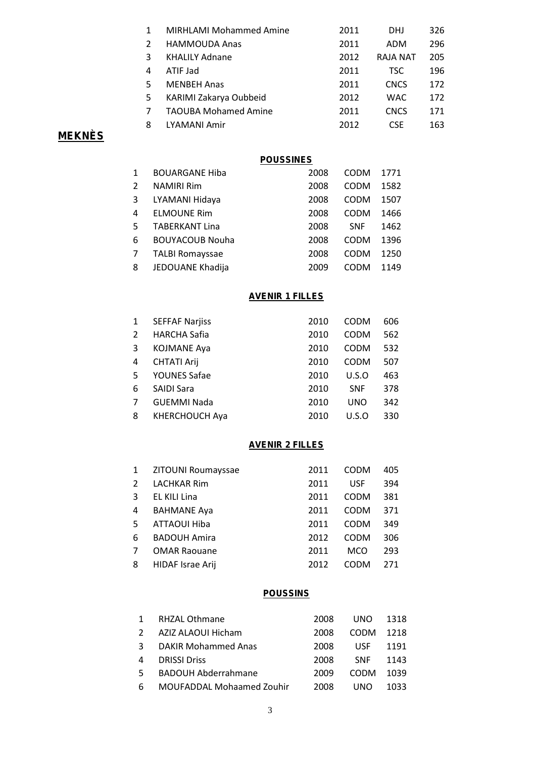|    | <b>MIRHLAMI Mohammed Amine</b> | 2011 | <b>DHJ</b>  | 326 |
|----|--------------------------------|------|-------------|-----|
| 2  | <b>HAMMOUDA Anas</b>           | 2011 | ADM         | 296 |
| 3  | <b>KHALILY Adnane</b>          | 2012 | RAJA NAT    | 205 |
| 4  | ATIF Jad                       | 2011 | TSC.        | 196 |
| 5  | <b>MENBEH Anas</b>             | 2011 | <b>CNCS</b> | 172 |
| 5. | KARIMI Zakarya Oubbeid         | 2012 | <b>WAC</b>  | 172 |
|    | <b>TAOUBA Mohamed Amine</b>    | 2011 | <b>CNCS</b> | 171 |
| 8  | LYAMANI Amir                   | 2012 | <b>CSF</b>  | 163 |

# **MEKNÈS**

|              | <b>POUSSINES</b>       |      |             |      |  |  |  |
|--------------|------------------------|------|-------------|------|--|--|--|
| $\mathbf{1}$ | <b>BOUARGANE Hiba</b>  | 2008 | <b>CODM</b> | 1771 |  |  |  |
| 2            | <b>NAMIRI Rim</b>      | 2008 | <b>CODM</b> | 1582 |  |  |  |
| 3            | LYAMANI Hidaya         | 2008 | <b>CODM</b> | 1507 |  |  |  |
| 4            | <b>ELMOUNE Rim</b>     | 2008 | <b>CODM</b> | 1466 |  |  |  |
| 5.           | <b>TABERKANT Lina</b>  | 2008 | <b>SNF</b>  | 1462 |  |  |  |
| 6            | <b>BOUYACOUB Nouha</b> | 2008 | <b>CODM</b> | 1396 |  |  |  |
| 7            | <b>TALBI Romayssae</b> | 2008 | <b>CODM</b> | 1250 |  |  |  |
| 8            | JEDOUANE Khadija       | 2009 | <b>CODM</b> | 1149 |  |  |  |

### **AVENIR 1 FILLES**

| 1  | <b>SEFFAF Narjiss</b> | 2010 | <b>CODM</b> | 606 |
|----|-----------------------|------|-------------|-----|
| 2  | <b>HARCHA Safia</b>   | 2010 | <b>CODM</b> | 562 |
| 3  | <b>KOJMANE Aya</b>    | 2010 | <b>CODM</b> | 532 |
| 4  | <b>CHTATI Arij</b>    | 2010 | <b>CODM</b> | 507 |
| .5 | <b>YOUNES Safae</b>   | 2010 | U.S.O       | 463 |
| 6  | <b>SAIDI Sara</b>     | 2010 | <b>SNF</b>  | 378 |
| 7  | <b>GUEMMI Nada</b>    | 2010 | <b>UNO</b>  | 342 |
| 8  | <b>KHERCHOUCH Aya</b> | 2010 | U.S.O       | 330 |

### **AVENIR 2 FILLES**

| $\mathbf{1}$ | ZITOUNI Roumayssae  | 2011 | <b>CODM</b> | 405 |
|--------------|---------------------|------|-------------|-----|
| 2            | <b>LACHKAR Rim</b>  | 2011 | <b>USF</b>  | 394 |
| 3            | EL KILI Lina        | 2011 | <b>CODM</b> | 381 |
| 4            | <b>BAHMANE Aya</b>  | 2011 | <b>CODM</b> | 371 |
| 5            | ATTAOUI Hiba        | 2011 | <b>CODM</b> | 349 |
| 6            | <b>BADOUH Amira</b> | 2012 | <b>CODM</b> | 306 |
| 7            | <b>OMAR Raouane</b> | 2011 | <b>MCO</b>  | 293 |
| 8            | HIDAF Israe Arij    | 2012 | <b>CODM</b> | 271 |

### **POUSSINS**

|    | <b>RHZAL Othmane</b>       | 2008 | <b>UNO</b>  | 1318 |
|----|----------------------------|------|-------------|------|
|    | AZIZ ALAOUI Hicham         | 2008 | <b>CODM</b> | 1218 |
| 3  | DAKIR Mohammed Anas        | 2008 | <b>USF</b>  | 1191 |
| 4  | <b>DRISSI Driss</b>        | 2008 | <b>SNF</b>  | 1143 |
| 5. | <b>BADOUH Abderrahmane</b> | 2009 | <b>CODM</b> | 1039 |
| 6  | MOUFADDAL Mohaamed Zouhir  | 2008 | UNO         | 1033 |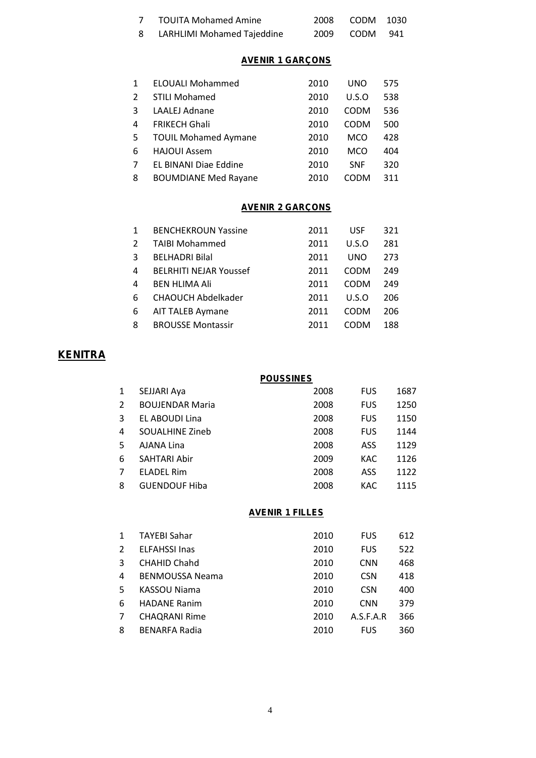| <b>TOUITA Mohamed Amine</b>  | 2008 CODM 1030 |               |  |
|------------------------------|----------------|---------------|--|
| 8 LARHLIMI Mohamed Tajeddine |                | 2009 CODM 941 |  |

### **AVENIR 1 GARÇONS**

| $\mathbf{1}$   | <b>ELOUALI Mohammed</b>     | 2010 | <b>UNO</b>  | 575 |
|----------------|-----------------------------|------|-------------|-----|
| 2              | <b>STILI Mohamed</b>        | 2010 | U.S.O       | 538 |
| 3              | <b>LAALEJ Adnane</b>        | 2010 | <b>CODM</b> | 536 |
| 4              | <b>FRIKECH Ghali</b>        | 2010 | <b>CODM</b> | 500 |
| 5              | <b>TOUIL Mohamed Aymane</b> | 2010 | <b>MCO</b>  | 428 |
| 6              | <b>HAJOUI Assem</b>         | 2010 | <b>MCO</b>  | 404 |
| $\overline{7}$ | EL BINANI Diae Eddine       | 2010 | <b>SNF</b>  | 320 |
| 8              | <b>BOUMDIANE Med Rayane</b> | 2010 | CODM        | 311 |

### **AVENIR 2 GARÇONS**

| $\mathbf{1}$   | <b>BENCHEKROUN Yassine</b>    | 2011 | <b>USF</b>  | 321 |
|----------------|-------------------------------|------|-------------|-----|
| $\overline{2}$ | <b>TAIBI Mohammed</b>         | 2011 | U.S.O       | 281 |
| 3              | <b>BELHADRI Bilal</b>         | 2011 | <b>UNO</b>  | 273 |
| 4              | <b>BELRHITI NEJAR Youssef</b> | 2011 | <b>CODM</b> | 249 |
| 4              | <b>BEN HLIMA Ali</b>          | 2011 | <b>CODM</b> | 249 |
| 6              | <b>CHAOUCH Abdelkader</b>     | 2011 | U.S.O       | 206 |
| 6              | <b>AIT TALEB Aymane</b>       | 2011 | <b>CODM</b> | 206 |
| 8              | <b>BROUSSE Montassir</b>      | 2011 | CODM        | 188 |

# **KENITRA**

| <b>POUSSINES</b> |                        |      |            |      |  |
|------------------|------------------------|------|------------|------|--|
| 1                | SEJJARI Aya            | 2008 | <b>FUS</b> | 1687 |  |
| 2                | <b>BOUJENDAR Maria</b> | 2008 | <b>FUS</b> | 1250 |  |
| 3                | EL ABOUDI Lina         | 2008 | <b>FUS</b> | 1150 |  |
| 4                | <b>SOUALHINE Zineb</b> | 2008 | <b>FUS</b> | 1144 |  |
| 5.               | AJANA Lina             | 2008 | ASS        | 1129 |  |
| 6                | SAHTARI Abir           | 2009 | KAC        | 1126 |  |
| 7                | <b>ELADEL Rim</b>      | 2008 | ASS        | 1122 |  |
| 8                | <b>GUENDOUF Hiba</b>   | 2008 | KAC        | 1115 |  |
|                  |                        |      |            |      |  |

#### **AVENIR 1 FILLES**

| $\mathbf{1}$ | <b>TAYEBI Sahar</b>    | 2010 | <b>FUS</b> | 612 |
|--------------|------------------------|------|------------|-----|
| $2^{\circ}$  | <b>ELFAHSSI Inas</b>   | 2010 | <b>FUS</b> | 522 |
| 3            | <b>CHAHID Chahd</b>    | 2010 | <b>CNN</b> | 468 |
| 4            | <b>BENMOUSSA Neama</b> | 2010 | <b>CSN</b> | 418 |
| 5.           | KASSOU Niama           | 2010 | <b>CSN</b> | 400 |
| 6            | <b>HADANE Ranim</b>    | 2010 | <b>CNN</b> | 379 |
| 7            | <b>CHAQRANI Rime</b>   | 2010 | A.S.F.A.R  | 366 |
| 8            | <b>BENARFA Radia</b>   | 2010 | <b>FUS</b> | 360 |
|              |                        |      |            |     |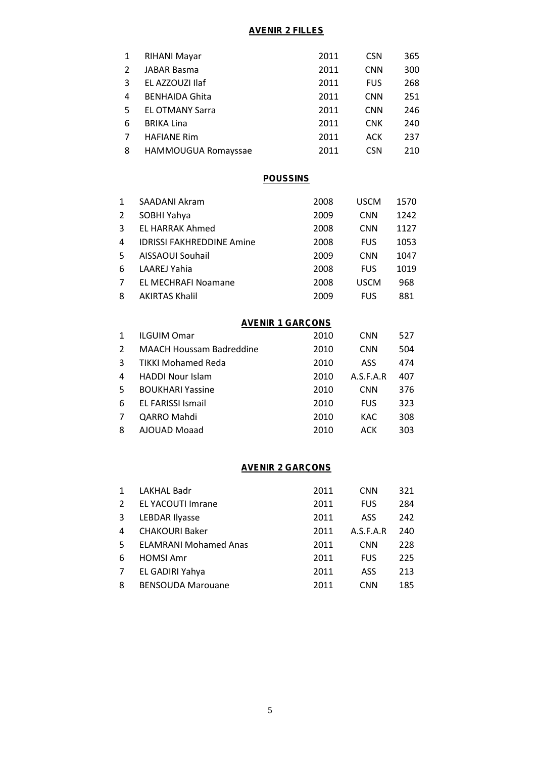### **AVENIR 2 FILLES**

| 1              | RIHANI Mayar           | 2011 | <b>CSN</b> | 365 |
|----------------|------------------------|------|------------|-----|
| $\overline{2}$ | JABAR Basma            | 2011 | <b>CNN</b> | 300 |
| 3              | EL AZZOUZI Ilaf        | 2011 | <b>FUS</b> | 268 |
| 4              | <b>BENHAIDA Ghita</b>  | 2011 | <b>CNN</b> | 251 |
| 5.             | <b>EL OTMANY Sarra</b> | 2011 | <b>CNN</b> | 246 |
| 6              | <b>BRIKA Lina</b>      | 2011 | <b>CNK</b> | 240 |
| 7              | <b>HAFIANE Rim</b>     | 2011 | ACK        | 237 |
| 8              | HAMMOUGUA Romayssae    | 2011 | <b>CSN</b> | 210 |

#### **POUSSINS**

| $\mathbf{1}$   | SAADANI Akram                    | 2008 | <b>USCM</b> | 1570 |
|----------------|----------------------------------|------|-------------|------|
| $\overline{2}$ | SOBHI Yahya                      | 2009 | <b>CNN</b>  | 1242 |
| 3              | <b>EL HARRAK Ahmed</b>           | 2008 | <b>CNN</b>  | 1127 |
| 4              | <b>IDRISSI FAKHREDDINE Amine</b> | 2008 | <b>FUS</b>  | 1053 |
| 5              | AISSAOUI Souhail                 | 2009 | <b>CNN</b>  | 1047 |
| 6              | <b>LAAREJ Yahia</b>              | 2008 | <b>FUS</b>  | 1019 |
| $\overline{7}$ | <b>EL MECHRAFI Noamane</b>       | 2008 | <b>USCM</b> | 968  |
| 8              | <b>AKIRTAS Khalil</b>            | 2009 | <b>FUS</b>  | 881  |

### **AVENIR 1 GARÇONS**

| $\mathbf 1$ | <b>ILGUIM Omar</b>              | 2010 | <b>CNN</b> | 527 |
|-------------|---------------------------------|------|------------|-----|
| $2^{\circ}$ | <b>MAACH Houssam Badreddine</b> | 2010 | <b>CNN</b> | 504 |
| 3           | <b>TIKKI Mohamed Reda</b>       | 2010 | ASS        | 474 |
| 4           | <b>HADDI Nour Islam</b>         | 2010 | A.S.F.A.R  | 407 |
| 5.          | <b>BOUKHARI Yassine</b>         | 2010 | <b>CNN</b> | 376 |
| 6           | <b>EL FARISSI Ismail</b>        | 2010 | <b>FUS</b> | 323 |
| 7           | QARRO Mahdi                     | 2010 | KAC.       | 308 |
| 8           | AJOUAD Moaad                    | 2010 | ACK        | 303 |

#### **AVENIR 2 GARÇONS**

| $\mathbf{1}$ | <b>LAKHAL Badr</b>           | 2011 | <b>CNN</b> | 321 |
|--------------|------------------------------|------|------------|-----|
| 2            | <b>EL YACOUTI Imrane</b>     | 2011 | <b>FUS</b> | 284 |
| 3            | <b>LEBDAR Ilyasse</b>        | 2011 | ASS        | 242 |
| 4            | <b>CHAKOURI Baker</b>        | 2011 | A.S.F.A.R  | 240 |
| 5            | <b>ELAMRANI Mohamed Anas</b> | 2011 | <b>CNN</b> | 228 |
| 6            | <b>HOMSI Amr</b>             | 2011 | <b>FUS</b> | 225 |
| 7            | EL GADIRI Yahya              | 2011 | ASS        | 213 |
| 8            | <b>BENSOUDA Marouane</b>     | 2011 | <b>CNN</b> | 185 |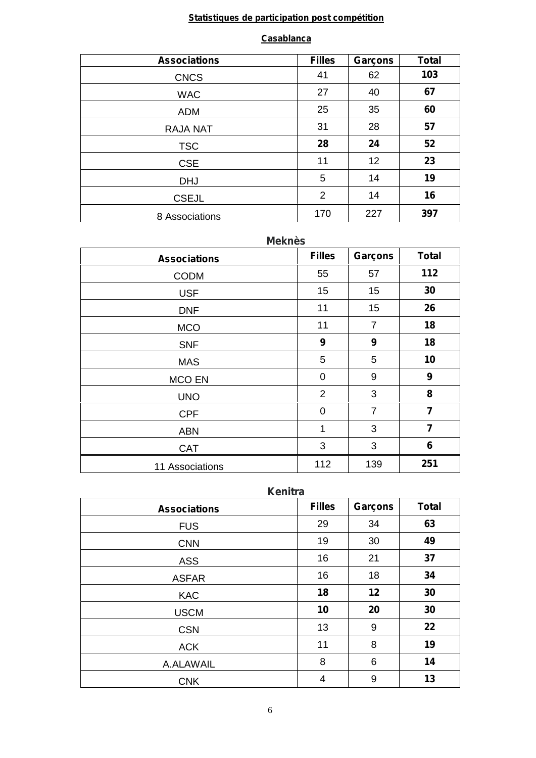# **Statistiques de participation post compétition**

#### **Casablanca**

| <b>Associations</b> | <b>Filles</b> | Garçons | <b>Total</b> |
|---------------------|---------------|---------|--------------|
| <b>CNCS</b>         | 41            | 62      | 103          |
| <b>WAC</b>          | 27            | 40      | 67           |
| <b>ADM</b>          | 25            | 35      | 60           |
| <b>RAJA NAT</b>     | 31            | 28      | 57           |
| <b>TSC</b>          | 28            | 24      | 52           |
| <b>CSE</b>          | 11            | 12      | 23           |
| <b>DHJ</b>          | 5             | 14      | 19           |
| <b>CSEJL</b>        | 2             | 14      | 16           |
| 8 Associations      | 170           | 227     | 397          |

| <b>Meknès</b>       |                  |                |                |  |
|---------------------|------------------|----------------|----------------|--|
| <b>Associations</b> | <b>Filles</b>    | Garçons        | <b>Total</b>   |  |
| <b>CODM</b>         | 55               | 57             | 112            |  |
| <b>USF</b>          | 15               | 15             | 30             |  |
| <b>DNF</b>          | 11               | 15             | 26             |  |
| <b>MCO</b>          | 11               | $\overline{7}$ | 18             |  |
| <b>SNF</b>          | $\boldsymbol{9}$ | 9              | 18             |  |
| <b>MAS</b>          | 5                | 5              | 10             |  |
| <b>MCO EN</b>       | $\mathbf 0$      | 9              | 9              |  |
| <b>UNO</b>          | $\overline{2}$   | 3              | 8              |  |
| <b>CPF</b>          | $\mathbf 0$      | $\overline{7}$ | 7              |  |
| <b>ABN</b>          | 1                | 3              | $\overline{7}$ |  |
| <b>CAT</b>          | 3                | 3              | 6              |  |
| 11 Associations     | 112              | 139            | 251            |  |

| <b>Associations</b> | <b>Filles</b> | Garçons | <b>Total</b> |
|---------------------|---------------|---------|--------------|
| <b>FUS</b>          | 29            | 34      | 63           |
| <b>CNN</b>          | 19            | 30      | 49           |
| <b>ASS</b>          | 16            | 21      | 37           |
| <b>ASFAR</b>        | 16            | 18      | 34           |
| <b>KAC</b>          | 18            | 12      | 30           |
| <b>USCM</b>         | 10            | 20      | 30           |
| <b>CSN</b>          | 13            | 9       | 22           |
| <b>ACK</b>          | 11            | 8       | 19           |
| A.ALAWAIL           | 8             | 6       | 14           |
| <b>CNK</b>          | 4             | 9       | 13           |